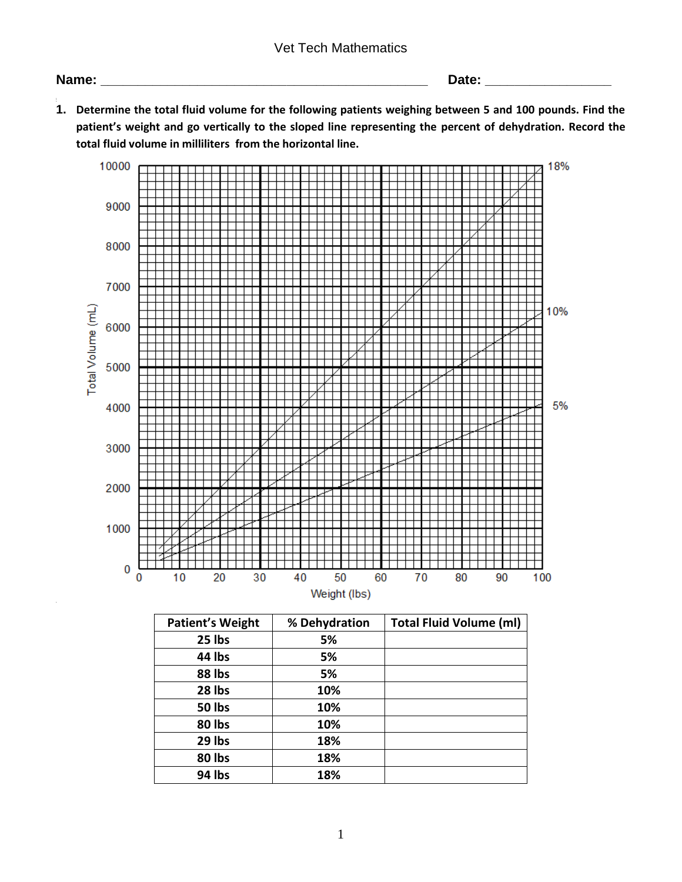## Vet Tech Mathematics

**Name: \_\_\_\_\_\_\_\_\_\_\_\_\_\_\_\_\_\_\_\_\_\_\_\_\_\_\_\_\_\_\_\_\_\_\_\_\_\_\_\_\_\_\_\_ Date: \_\_\_\_\_\_\_\_\_\_\_\_\_\_\_\_\_**

**3. 1. Determine the total fluid volume for the following patients weighing between 5 and 100 pounds. Find the patient's weight and go vertically to the sloped line representing the percent of dehydration. Record the total fluid volume in milliliters from the horizontal line.**



| <b>Patient's Weight</b> | % Dehydration | <b>Total Fluid Volume (ml)</b> |
|-------------------------|---------------|--------------------------------|
| 25 lbs                  | 5%            |                                |
| 44 lbs                  | 5%            |                                |
| 88 lbs                  | 5%            |                                |
| 28 lbs                  | 10%           |                                |
| 50 lbs                  | 10%           |                                |
| 80 lbs                  | 10%           |                                |
| 29 lbs                  | 18%           |                                |
| 80 lbs                  | 18%           |                                |
| 94 lbs                  | 18%           |                                |